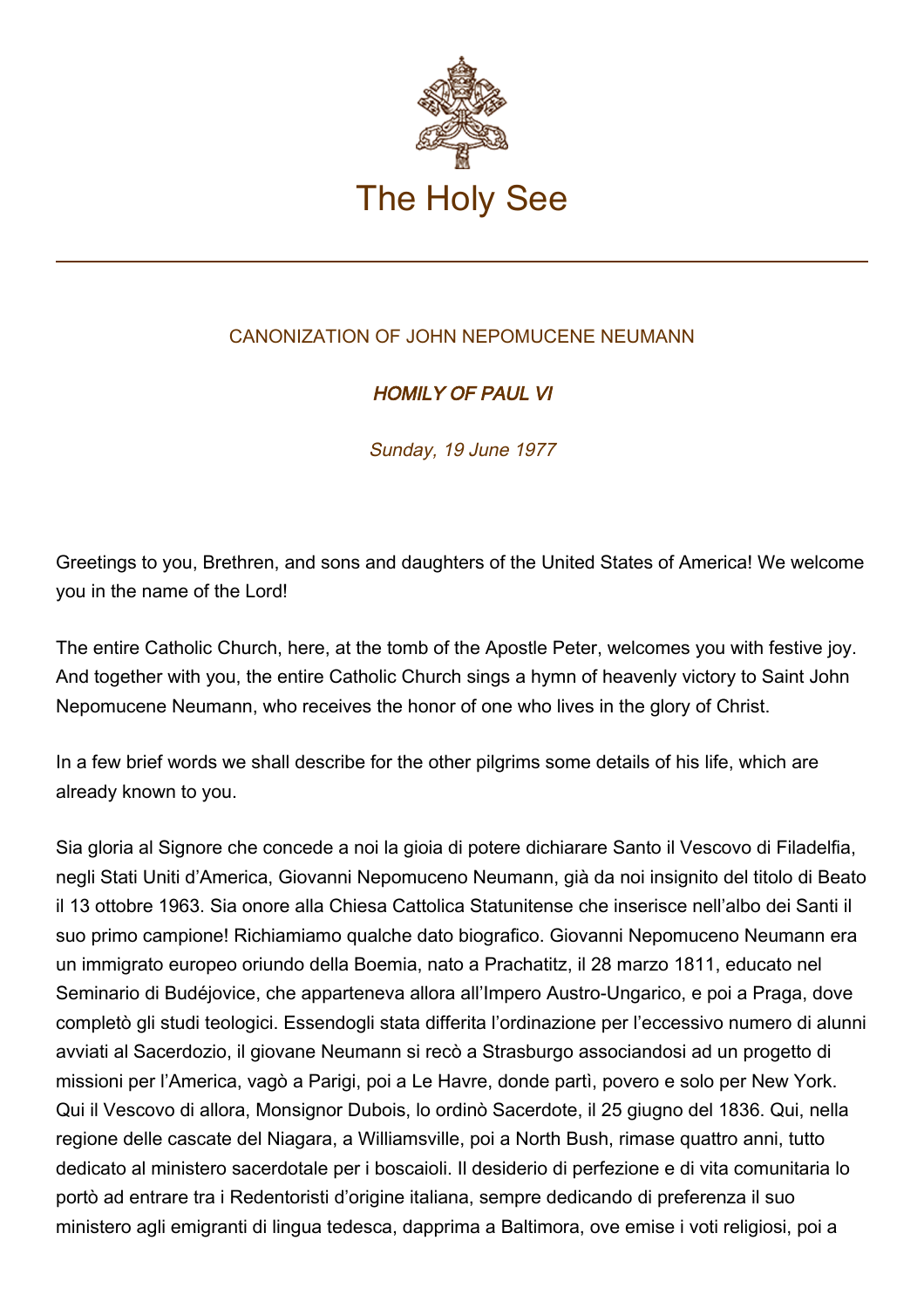

## CANONIZATION OF JOHN NEPOMUCENE NEUMANN

## HOMILY OF PAUL VI

Sunday, 19 June 1977

Greetings to you, Brethren, and sons and daughters of the United States of America! We welcome you in the name of the Lord!

The entire Catholic Church, here, at the tomb of the Apostle Peter, welcomes you with festive joy. And together with you, the entire Catholic Church sings a hymn of heavenly victory to Saint John Nepomucene Neumann, who receives the honor of one who lives in the glory of Christ.

In a few brief words we shall describe for the other pilgrims some details of his life, which are already known to you.

Sia gloria al Signore che concede a noi la gioia di potere dichiarare Santo il Vescovo di Filadelfia, negli Stati Uniti d'America, Giovanni Nepomuceno Neumann, già da noi insignito del titolo di Beato il 13 ottobre 1963. Sia onore alla Chiesa Cattolica Statunitense che inserisce nell'albo dei Santi il suo primo campione! Richiamiamo qualche dato biografico. Giovanni Nepomuceno Neumann era un immigrato europeo oriundo della Boemia, nato a Prachatitz, il 28 marzo 1811, educato nel Seminario di Budéjovice, che apparteneva allora all'Impero Austro-Ungarico, e poi a Praga, dove completò gli studi teologici. Essendogli stata differita l'ordinazione per l'eccessivo numero di alunni avviati al Sacerdozio, il giovane Neumann si recò a Strasburgo associandosi ad un progetto di missioni per l'America, vagò a Parigi, poi a Le Havre, donde partì, povero e solo per New York. Qui il Vescovo di allora, Monsignor Dubois, lo ordinò Sacerdote, il 25 giugno del 1836. Qui, nella regione delle cascate del Niagara, a Williamsville, poi a North Bush, rimase quattro anni, tutto dedicato al ministero sacerdotale per i boscaioli. Il desiderio di perfezione e di vita comunitaria lo portò ad entrare tra i Redentoristi d'origine italiana, sempre dedicando di preferenza il suo ministero agli emigranti di lingua tedesca, dapprima a Baltimora, ove emise i voti religiosi, poi a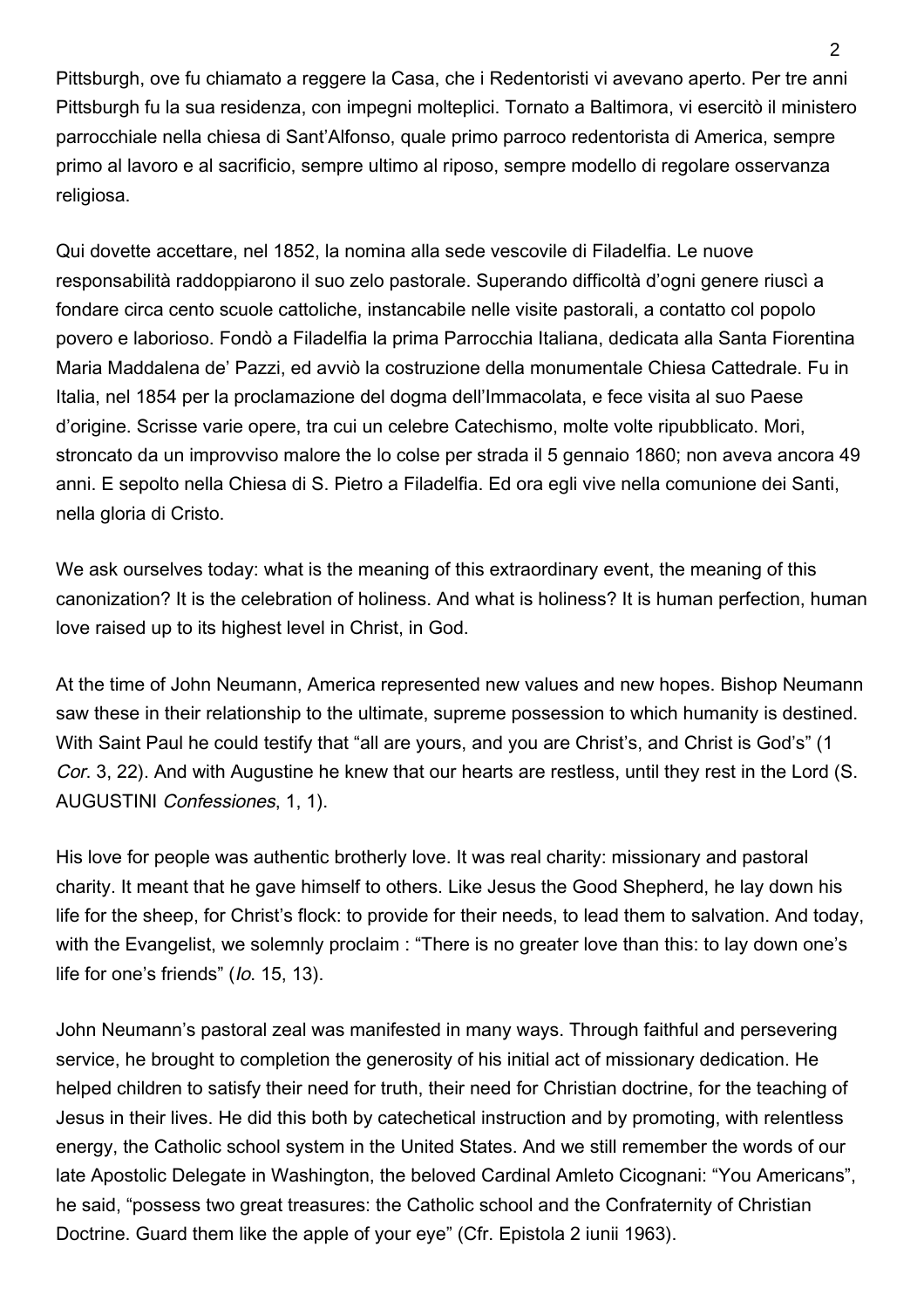Pittsburgh, ove fu chiamato a reggere la Casa, che i Redentoristi vi avevano aperto. Per tre anni Pittsburgh fu la sua residenza, con impegni molteplici. Tornato a Baltimora, vi esercitò il ministero parrocchiale nella chiesa di Sant'Alfonso, quale primo parroco redentorista di America, sempre primo al lavoro e al sacrificio, sempre ultimo al riposo, sempre modello di regolare osservanza religiosa.

Qui dovette accettare, nel 1852, la nomina alla sede vescovile di Filadelfia. Le nuove responsabilità raddoppiarono il suo zelo pastorale. Superando difficoltà d'ogni genere riuscì a fondare circa cento scuole cattoliche, instancabile nelle visite pastorali, a contatto col popolo povero e laborioso. Fondò a Filadelfia la prima Parrocchia Italiana, dedicata alla Santa Fiorentina Maria Maddalena de' Pazzi, ed avviò la costruzione della monumentale Chiesa Cattedrale. Fu in Italia, nel 1854 per la proclamazione del dogma dell'Immacolata, e fece visita al suo Paese d'origine. Scrisse varie opere, tra cui un celebre Catechismo, molte volte ripubblicato. Mori, stroncato da un improvviso malore the lo colse per strada il 5 gennaio 1860; non aveva ancora 49 anni. E sepolto nella Chiesa di S. Pietro a Filadelfia. Ed ora egli vive nella comunione dei Santi, nella gloria di Cristo.

We ask ourselves today: what is the meaning of this extraordinary event, the meaning of this canonization? It is the celebration of holiness. And what is holiness? It is human perfection, human love raised up to its highest level in Christ, in God.

At the time of John Neumann, America represented new values and new hopes. Bishop Neumann saw these in their relationship to the ultimate, supreme possession to which humanity is destined. With Saint Paul he could testify that "all are yours, and you are Christ's, and Christ is God's" (1 Cor. 3, 22). And with Augustine he knew that our hearts are restless, until they rest in the Lord (S. AUGUSTINI Confessiones, 1, 1).

His love for people was authentic brotherly love. It was real charity: missionary and pastoral charity. It meant that he gave himself to others. Like Jesus the Good Shepherd, he lay down his life for the sheep, for Christ's flock: to provide for their needs, to lead them to salvation. And today, with the Evangelist, we solemnly proclaim : "There is no greater love than this: to lay down one's life for one's friends" (Io. 15, 13).

John Neumann's pastoral zeal was manifested in many ways. Through faithful and persevering service, he brought to completion the generosity of his initial act of missionary dedication. He helped children to satisfy their need for truth, their need for Christian doctrine, for the teaching of Jesus in their lives. He did this both by catechetical instruction and by promoting, with relentless energy, the Catholic school system in the United States. And we still remember the words of our late Apostolic Delegate in Washington, the beloved Cardinal Amleto Cicognani: "You Americans", he said, "possess two great treasures: the Catholic school and the Confraternity of Christian Doctrine. Guard them like the apple of your eye" (Cfr. Epistola 2 iunii 1963).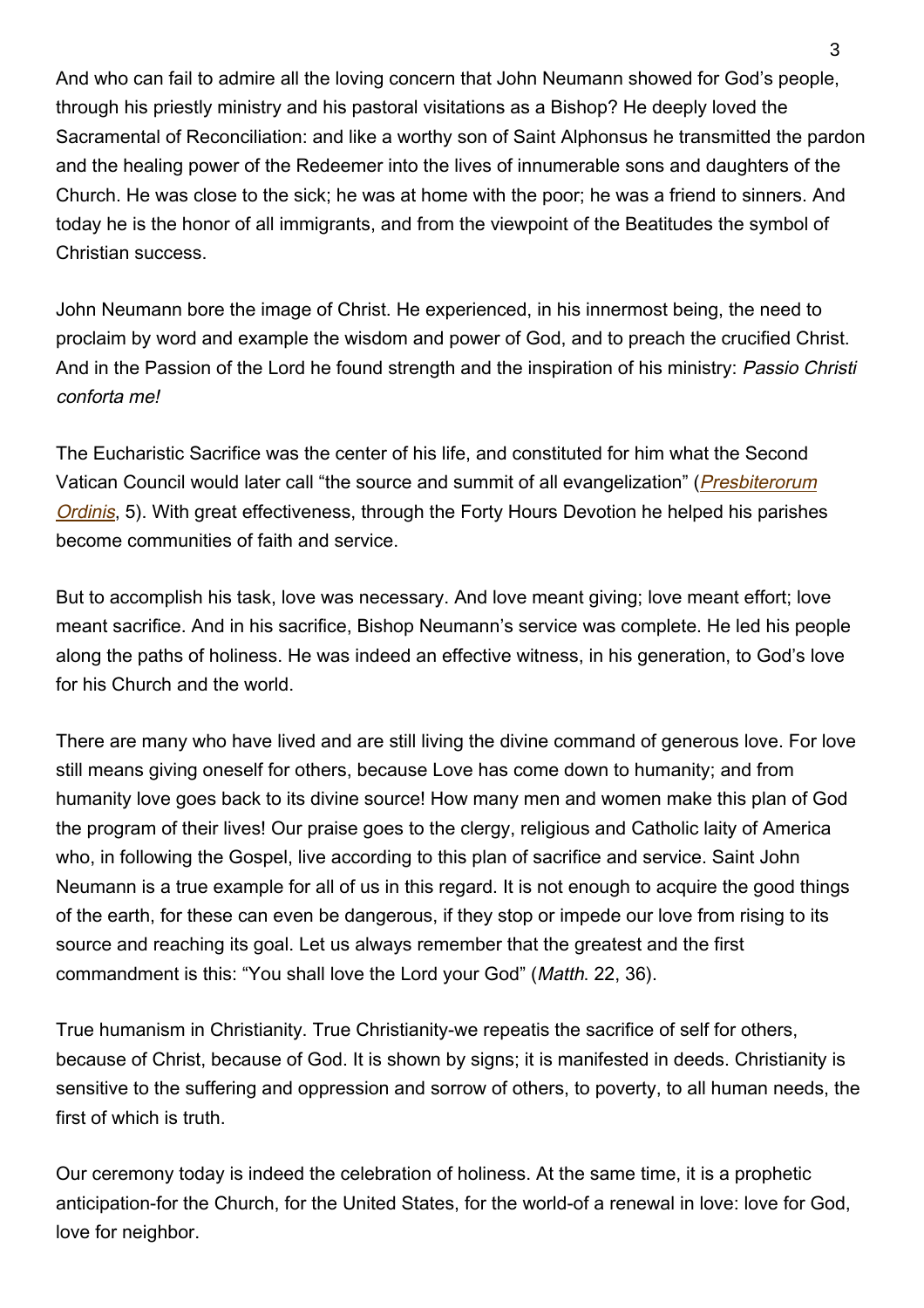And who can fail to admire all the loving concern that John Neumann showed for God's people, through his priestly ministry and his pastoral visitations as a Bishop? He deeply loved the Sacramental of Reconciliation: and like a worthy son of Saint Alphonsus he transmitted the pardon and the healing power of the Redeemer into the lives of innumerable sons and daughters of the Church. He was close to the sick; he was at home with the poor; he was a friend to sinners. And today he is the honor of all immigrants, and from the viewpoint of the Beatitudes the symbol of Christian success.

John Neumann bore the image of Christ. He experienced, in his innermost being, the need to proclaim by word and example the wisdom and power of God, and to preach the crucified Christ. And in the Passion of the Lord he found strength and the inspiration of his ministry: Passio Christi conforta me!

The Eucharistic Sacrifice was the center of his life, and constituted for him what the Second Vatican Council would later call "the source and summit of all evangelization" (*[Presbiterorum](http://www.vatican.va/archive/hist_councils/ii_vatican_council/documents/vat-ii_decree_19651207_presbyterorum-ordinis_en.html)* [Ordinis](http://www.vatican.va/archive/hist_councils/ii_vatican_council/documents/vat-ii_decree_19651207_presbyterorum-ordinis_en.html), 5). With great effectiveness, through the Forty Hours Devotion he helped his parishes become communities of faith and service.

But to accomplish his task, love was necessary. And love meant giving; love meant effort; love meant sacrifice. And in his sacrifice, Bishop Neumann's service was complete. He led his people along the paths of holiness. He was indeed an effective witness, in his generation, to God's love for his Church and the world.

There are many who have lived and are still living the divine command of generous love. For love still means giving oneself for others, because Love has come down to humanity; and from humanity love goes back to its divine source! How many men and women make this plan of God the program of their lives! Our praise goes to the clergy, religious and Catholic laity of America who, in following the Gospel, live according to this plan of sacrifice and service. Saint John Neumann is a true example for all of us in this regard. It is not enough to acquire the good things of the earth, for these can even be dangerous, if they stop or impede our love from rising to its source and reaching its goal. Let us always remember that the greatest and the first commandment is this: "You shall love the Lord your God" (Matth. 22, 36).

True humanism in Christianity. True Christianity-we repeatis the sacrifice of self for others, because of Christ, because of God. It is shown by signs; it is manifested in deeds. Christianity is sensitive to the suffering and oppression and sorrow of others, to poverty, to all human needs, the first of which is truth.

Our ceremony today is indeed the celebration of holiness. At the same time, it is a prophetic anticipation-for the Church, for the United States, for the world-of a renewal in love: love for God, love for neighbor.